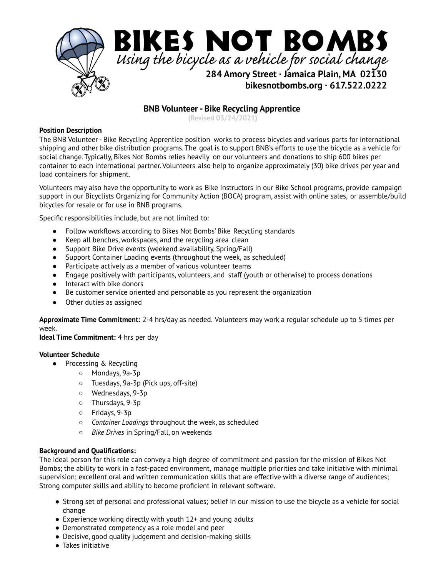

# **BNB Volunteer - Bike Recycling Apprentice**

**(Revised 03/24/2021)**

## **Position Description**

The BNB Volunteer - Bike Recycling Apprentice position works to process bicycles and various parts for international shipping and other bike distribution programs. The goal is to support BNB's efforts to use the bicycle as a vehicle for social change. Typically, Bikes Not Bombs relies heavily on our volunteers and donations to ship 600 bikes per container to each international partner. Volunteers also help to organize approximately (30) bike drives per year and load containers for shipment.

Volunteers may also have the opportunity to work as Bike Instructors in our Bike School programs, provide campaign support in our Bicyclists Organizing for Community Action (BOCA) program, assist with online sales, or assemble/build bicycles for resale or for use in BNB programs.

Specific responsibilities include, but are not limited to:

- Follow workflows according to Bikes Not Bombs' Bike Recycling standards
- Keep all benches, workspaces, and the recycling area clean
- Support Bike Drive events (weekend availability, Spring/Fall)
- Support Container Loading events (throughout the week, as scheduled)
- Participate actively as a member of various volunteer teams
- Engage positively with participants, volunteers, and staff (youth or otherwise) to process donations
- Interact with bike donors
- Be customer service oriented and personable as you represent the organization
- Other duties as assigned

**Approximate Time Commitment:** 2-4 hrs/day as needed. Volunteers may work a regular schedule up to 5 times per week.

**Ideal Time Commitment:** 4 hrs per day

#### **Volunteer Schedule**

- Processing & Recycling
	- Mondays, 9a-3p
	- Tuesdays, 9a-3p (Pick ups, off-site)
	- Wednesdays, 9-3p
	- Thursdays, 9-3p
	- Fridays, 9-3p
	- *Container Loadings* throughout the week, as scheduled
	- *Bike Drives* in Spring/Fall, on weekends

#### **Background and Qualifications:**

The ideal person for this role can convey a high degree of commitment and passion for the mission of Bikes Not Bombs; the ability to work in a fast-paced environment, manage multiple priorities and take initiative with minimal supervision; excellent oral and written communication skills that are effective with a diverse range of audiences; Strong computer skills and ability to become proficient in relevant software.

- Strong set of personal and professional values; belief in our mission to use the bicycle as a vehicle for social change
- $\bullet$  Experience working directly with youth 12+ and young adults
- Demonstrated competency as a role model and peer
- Decisive, good quality judgement and decision-making skills
- Takes initiative